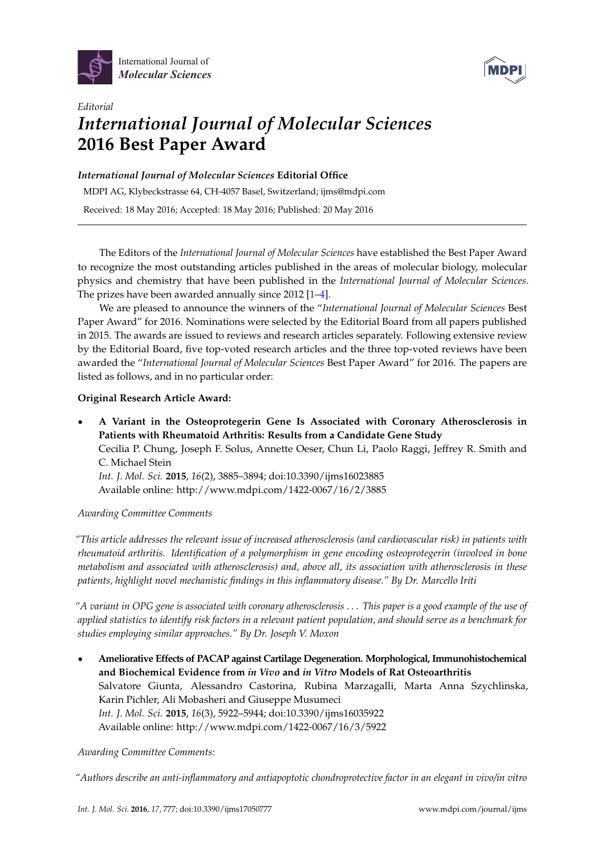



# *Editorial International Journal of Molecular Sciences* **2016 Best Paper Award**

## *International Journal of Molecular Sciences* **Editorial Office**

MDPI AG, Klybeckstrasse 64, CH-4057 Basel, Switzerland; ijms@mdpi.com

Received: 18 May 2016; Accepted: 18 May 2016; Published: 20 May 2016

The Editors of the *International Journal of Molecular Sciences* have established the Best Paper Award to recognize the most outstanding articles published in the areas of molecular biology, molecular physics and chemistry that have been published in the *International Journal of Molecular Sciences*. The prizes have been awarded annually since 2012 [\[1–](#page-4-0)[4\]](#page-4-1).

We are pleased to announce the winners of the "*International Journal of Molecular Sciences* Best Paper Award" for 2016. Nominations were selected by the Editorial Board from all papers published in 2015. The awards are issued to reviews and research articles separately. Following extensive review by the Editorial Board, five top-voted research articles and the three top-voted reviews have been awarded the "*International Journal of Molecular Sciences* Best Paper Award" for 2016. The papers are listed as follows, and in no particular order:

## **Original Research Article Award:**

' **A Variant in the Osteoprotegerin Gene Is Associated with Coronary Atherosclerosis in Patients with Rheumatoid Arthritis: Results from a Candidate Gene Study** Cecilia P. Chung, Joseph F. Solus, Annette Oeser, Chun Li, Paolo Raggi, Jeffrey R. Smith and C. Michael Stein *Int. J. Mol. Sci.* **2015**, *16*(2), 3885–3894; doi:10.3390/ijms16023885 Available online: http://www.mdpi.com/1422-0067/16/2/3885

*Awarding Committee Comments*

*"This article addresses the relevant issue of increased atherosclerosis (and cardiovascular risk) in patients with rheumatoid arthritis. Identification of a polymorphism in gene encoding osteoprotegerin (involved in bone metabolism and associated with atherosclerosis) and, above all, its association with atherosclerosis in these patients, highlight novel mechanistic findings in this inflammatory disease." By Dr. Marcello Iriti*

*"A variant in OPG gene is associated with coronary atherosclerosis* . . . *This paper is a good example of the use of applied statistics to identify risk factors in a relevant patient population, and should serve as a benchmark for studies employing similar approaches." By Dr. Joseph V. Moxon*

' **Ameliorative Effects of PACAP against Cartilage Degeneration. Morphological, Immunohistochemical and Biochemical Evidence from** *in Vivo* **and** *in Vitro* **Models of Rat Osteoarthritis** Salvatore Giunta, Alessandro Castorina, Rubina Marzagalli, Marta Anna Szychlinska, Karin Pichler, Ali Mobasheri and Giuseppe Musumeci *Int. J. Mol. Sci.* **2015**, *16*(3), 5922–5944; doi:10.3390/ijms16035922 Available online: http://www.mdpi.com/1422-0067/16/3/5922

*Awarding Committee Comments:*

*"Authors describe an anti-inflammatory and antiapoptotic chondroprotective factor in an elegant in vivo/in vitro*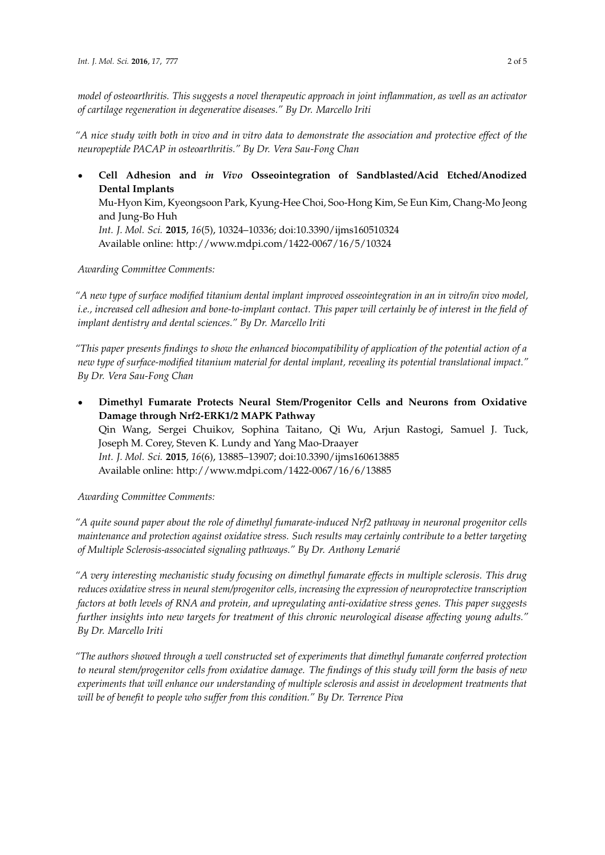*model of osteoarthritis. This suggests a novel therapeutic approach in joint inflammation, as well as an activator of cartilage regeneration in degenerative diseases." By Dr. Marcello Iriti*

*"A nice study with both in vivo and in vitro data to demonstrate the association and protective effect of the neuropeptide PACAP in osteoarthritis." By Dr. Vera Sau-Fong Chan*

' **Cell Adhesion and** *in Vivo* **Osseointegration of Sandblasted/Acid Etched/Anodized Dental Implants**

Mu-Hyon Kim, Kyeongsoon Park, Kyung-Hee Choi, Soo-Hong Kim, Se Eun Kim, Chang-Mo Jeong and Jung-Bo Huh

*Int. J. Mol. Sci.* **2015**, *16*(5), 10324–10336; doi:10.3390/ijms160510324 Available online: http://www.mdpi.com/1422-0067/16/5/10324

### *Awarding Committee Comments:*

*"A new type of surface modified titanium dental implant improved osseointegration in an in vitro/in vivo model, i.e., increased cell adhesion and bone-to-implant contact. This paper will certainly be of interest in the field of implant dentistry and dental sciences." By Dr. Marcello Iriti*

*"This paper presents findings to show the enhanced biocompatibility of application of the potential action of a new type of surface-modified titanium material for dental implant, revealing its potential translational impact." By Dr. Vera Sau-Fong Chan*

' **Dimethyl Fumarate Protects Neural Stem/Progenitor Cells and Neurons from Oxidative Damage through Nrf2-ERK1/2 MAPK Pathway** Qin Wang, Sergei Chuikov, Sophina Taitano, Qi Wu, Arjun Rastogi, Samuel J. Tuck, Joseph M. Corey, Steven K. Lundy and Yang Mao-Draayer *Int. J. Mol. Sci.* **2015**, *16*(6), 13885–13907; doi:10.3390/ijms160613885 Available online: http://www.mdpi.com/1422-0067/16/6/13885

*Awarding Committee Comments:*

*"A quite sound paper about the role of dimethyl fumarate-induced Nrf2 pathway in neuronal progenitor cells maintenance and protection against oxidative stress. Such results may certainly contribute to a better targeting of Multiple Sclerosis-associated signaling pathways." By Dr. Anthony Lemarié*

*"A very interesting mechanistic study focusing on dimethyl fumarate effects in multiple sclerosis. This drug reduces oxidative stress in neural stem/progenitor cells, increasing the expression of neuroprotective transcription factors at both levels of RNA and protein, and upregulating anti-oxidative stress genes. This paper suggests further insights into new targets for treatment of this chronic neurological disease affecting young adults." By Dr. Marcello Iriti*

*"The authors showed through a well constructed set of experiments that dimethyl fumarate conferred protection to neural stem/progenitor cells from oxidative damage. The findings of this study will form the basis of new experiments that will enhance our understanding of multiple sclerosis and assist in development treatments that will be of benefit to people who suffer from this condition." By Dr. Terrence Piva*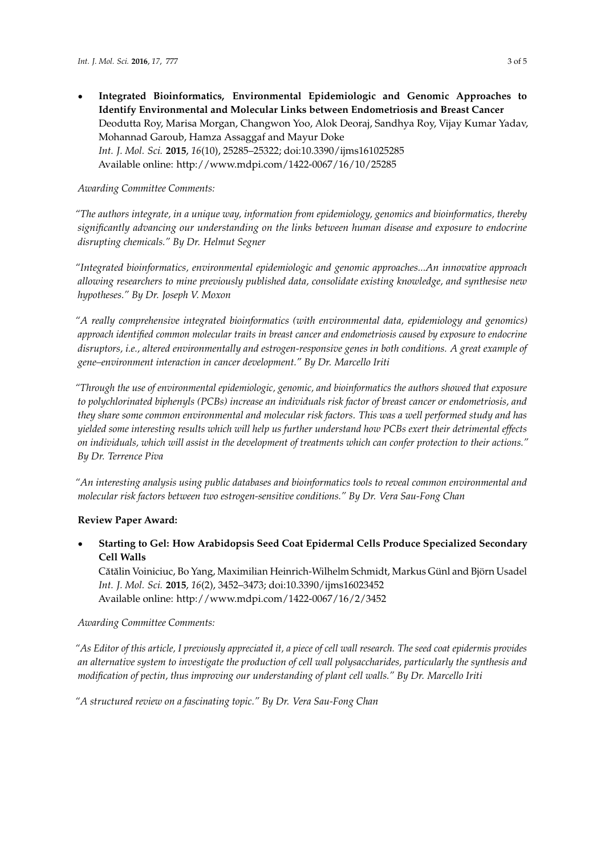' **Integrated Bioinformatics, Environmental Epidemiologic and Genomic Approaches to Identify Environmental and Molecular Links between Endometriosis and Breast Cancer** Deodutta Roy, Marisa Morgan, Changwon Yoo, Alok Deoraj, Sandhya Roy, Vijay Kumar Yadav, Mohannad Garoub, Hamza Assaggaf and Mayur Doke *Int. J. Mol. Sci.* **2015**, *16*(10), 25285–25322; doi:10.3390/ijms161025285 Available online: http://www.mdpi.com/1422-0067/16/10/25285

#### *Awarding Committee Comments:*

*"The authors integrate, in a unique way, information from epidemiology, genomics and bioinformatics, thereby significantly advancing our understanding on the links between human disease and exposure to endocrine disrupting chemicals." By Dr. Helmut Segner*

*"Integrated bioinformatics, environmental epidemiologic and genomic approaches...An innovative approach allowing researchers to mine previously published data, consolidate existing knowledge, and synthesise new hypotheses." By Dr. Joseph V. Moxon*

*"A really comprehensive integrated bioinformatics (with environmental data, epidemiology and genomics) approach identified common molecular traits in breast cancer and endometriosis caused by exposure to endocrine disruptors, i.e., altered environmentally and estrogen-responsive genes in both conditions. A great example of gene–environment interaction in cancer development." By Dr. Marcello Iriti*

*"Through the use of environmental epidemiologic, genomic, and bioinformatics the authors showed that exposure to polychlorinated biphenyls (PCBs) increase an individuals risk factor of breast cancer or endometriosis, and they share some common environmental and molecular risk factors. This was a well performed study and has yielded some interesting results which will help us further understand how PCBs exert their detrimental effects on individuals, which will assist in the development of treatments which can confer protection to their actions." By Dr. Terrence Piva*

*"An interesting analysis using public databases and bioinformatics tools to reveal common environmental and molecular risk factors between two estrogen-sensitive conditions." By Dr. Vera Sau-Fong Chan*

#### **Review Paper Award:**

' **Starting to Gel: How Arabidopsis Seed Coat Epidermal Cells Produce Specialized Secondary Cell Walls**

Cătălin Voiniciuc, Bo Yang, Maximilian Heinrich-Wilhelm Schmidt, Markus Günl and Björn Usadel *Int. J. Mol. Sci.* **2015**, *16*(2), 3452–3473; doi:10.3390/ijms16023452 Available online: http://www.mdpi.com/1422-0067/16/2/3452

#### *Awarding Committee Comments:*

*"As Editor of this article, I previously appreciated it, a piece of cell wall research. The seed coat epidermis provides an alternative system to investigate the production of cell wall polysaccharides, particularly the synthesis and modification of pectin, thus improving our understanding of plant cell walls." By Dr. Marcello Iriti*

*"A structured review on a fascinating topic." By Dr. Vera Sau-Fong Chan*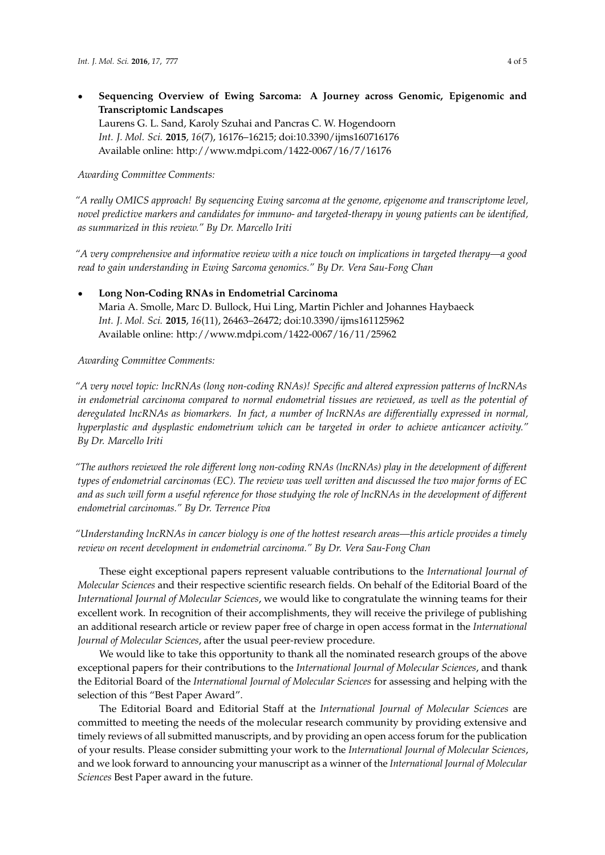' **Sequencing Overview of Ewing Sarcoma: A Journey across Genomic, Epigenomic and Transcriptomic Landscapes**

Laurens G. L. Sand, Karoly Szuhai and Pancras C. W. Hogendoorn *Int. J. Mol. Sci.* **2015**, *16*(7), 16176–16215; doi:10.3390/ijms160716176 Available online: http://www.mdpi.com/1422-0067/16/7/16176

*Awarding Committee Comments:*

*"A really OMICS approach! By sequencing Ewing sarcoma at the genome, epigenome and transcriptome level, novel predictive markers and candidates for immuno- and targeted-therapy in young patients can be identified, as summarized in this review." By Dr. Marcello Iriti*

*"A very comprehensive and informative review with a nice touch on implications in targeted therapy—a good read to gain understanding in Ewing Sarcoma genomics." By Dr. Vera Sau-Fong Chan*

' **Long Non-Coding RNAs in Endometrial Carcinoma** Maria A. Smolle, Marc D. Bullock, Hui Ling, Martin Pichler and Johannes Haybaeck *Int. J. Mol. Sci.* **2015**, *16*(11), 26463–26472; doi:10.3390/ijms161125962 Available online: http://www.mdpi.com/1422-0067/16/11/25962

*Awarding Committee Comments:*

*"A very novel topic: lncRNAs (long non-coding RNAs)! Specific and altered expression patterns of lncRNAs in endometrial carcinoma compared to normal endometrial tissues are reviewed, as well as the potential of deregulated lncRNAs as biomarkers. In fact, a number of lncRNAs are differentially expressed in normal, hyperplastic and dysplastic endometrium which can be targeted in order to achieve anticancer activity." By Dr. Marcello Iriti*

*"The authors reviewed the role different long non-coding RNAs (lncRNAs) play in the development of different types of endometrial carcinomas (EC). The review was well written and discussed the two major forms of EC and as such will form a useful reference for those studying the role of lncRNAs in the development of different endometrial carcinomas." By Dr. Terrence Piva*

*"Understanding lncRNAs in cancer biology is one of the hottest research areas—this article provides a timely review on recent development in endometrial carcinoma." By Dr. Vera Sau-Fong Chan*

These eight exceptional papers represent valuable contributions to the *International Journal of Molecular Sciences* and their respective scientific research fields. On behalf of the Editorial Board of the *International Journal of Molecular Sciences*, we would like to congratulate the winning teams for their excellent work. In recognition of their accomplishments, they will receive the privilege of publishing an additional research article or review paper free of charge in open access format in the *International Journal of Molecular Sciences*, after the usual peer-review procedure.

We would like to take this opportunity to thank all the nominated research groups of the above exceptional papers for their contributions to the *International Journal of Molecular Sciences*, and thank the Editorial Board of the *International Journal of Molecular Sciences* for assessing and helping with the selection of this "Best Paper Award".

The Editorial Board and Editorial Staff at the *International Journal of Molecular Sciences* are committed to meeting the needs of the molecular research community by providing extensive and timely reviews of all submitted manuscripts, and by providing an open access forum for the publication of your results. Please consider submitting your work to the *International Journal of Molecular Sciences*, and we look forward to announcing your manuscript as a winner of the *International Journal of Molecular Sciences* Best Paper award in the future.